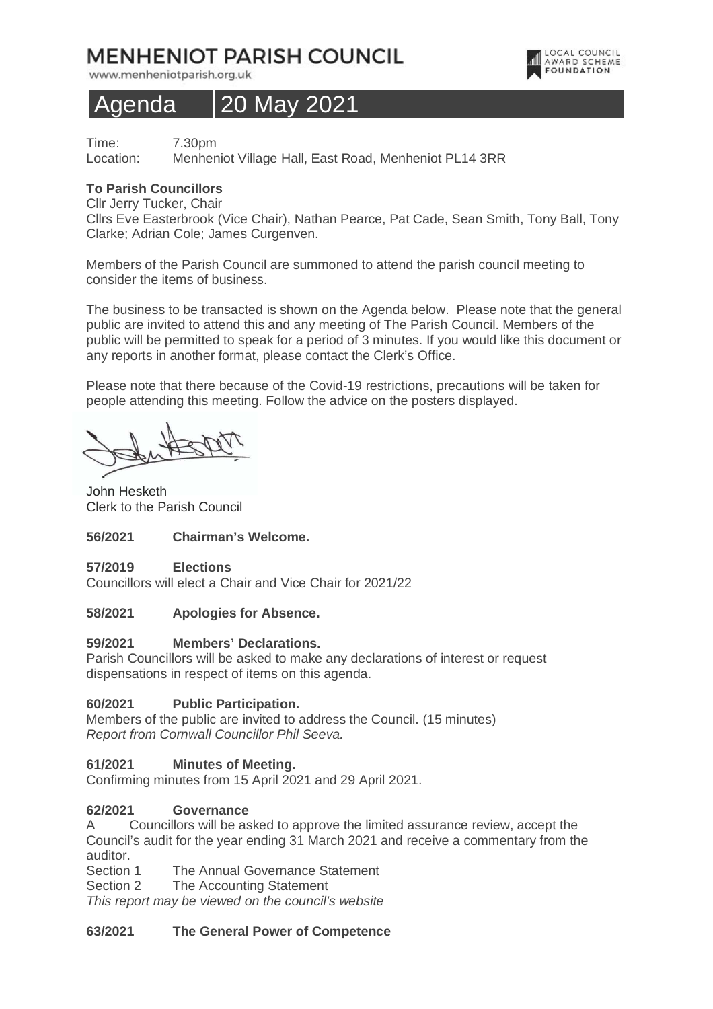## **MENHENIOT PARISH COUNCIL**

www.menheniotparish.org.uk

# Agenda 20 May 2021

Time: 7.30pm Location: Menheniot Village Hall, East Road, Menheniot PL14 3RR

#### **To Parish Councillors**

Cllr Jerry Tucker, Chair

Cllrs Eve Easterbrook (Vice Chair), Nathan Pearce, Pat Cade, Sean Smith, Tony Ball, Tony Clarke; Adrian Cole; James Curgenven.

LOCAL COUNCIL<br>AWARD SCHEME **FOUNDATION** 

Members of the Parish Council are summoned to attend the parish council meeting to consider the items of business.

The business to be transacted is shown on the Agenda below. Please note that the general public are invited to attend this and any meeting of The Parish Council. Members of the public will be permitted to speak for a period of 3 minutes. If you would like this document or any reports in another format, please contact the Clerk's Office.

Please note that there because of the Covid-19 restrictions, precautions will be taken for people attending this meeting. Follow the advice on the posters displayed.

John Hesketh Clerk to the Parish Council

#### **56/2021 Chairman's Welcome.**

**57/2019 Elections**  Councillors will elect a Chair and Vice Chair for 2021/22

#### **58/2021 Apologies for Absence.**

#### **59/2021 Members' Declarations.**

Parish Councillors will be asked to make any declarations of interest or request dispensations in respect of items on this agenda.

#### **60/2021 Public Participation.**

Members of the public are invited to address the Council. (15 minutes) Report from Cornwall Councillor Phil Seeva.

#### **61/2021 Minutes of Meeting.**

Confirming minutes from 15 April 2021 and 29 April 2021.

#### **62/2021 Governance**

A Councillors will be asked to approve the limited assurance review, accept the Council's audit for the year ending 31 March 2021 and receive a commentary from the auditor.

Section 1 The Annual Governance Statement

Section 2 The Accounting Statement

This report may be viewed on the council's website

#### **63/2021 The General Power of Competence**